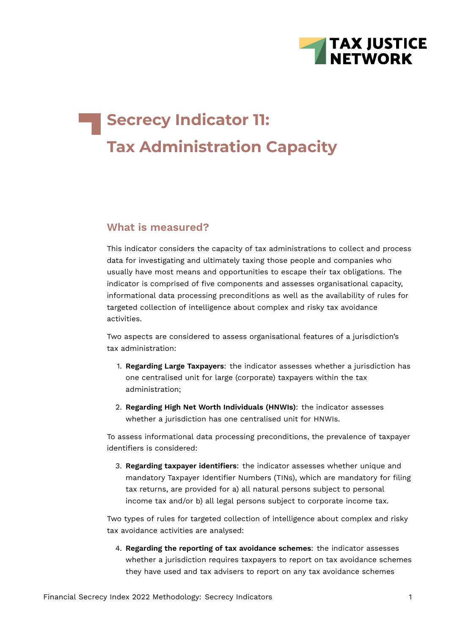

# **Secrecy Indicator 11: Tax Administration Capacity**

#### **What is measured?**

This indicator considers the capacity of tax administrations to collect and process data for investigating and ultimately taxing those people and companies who usually have most means and opportunities to escape their tax obligations. The indicator is comprised of five components and assesses organisational capacity, informational data processing preconditions as well as the availability of rules for targeted collection of intelligence about complex and risky tax avoidance activities.

Two aspects are considered to assess organisational features of a jurisdiction's tax administration:

- 1. **Regarding Large Taxpayers**: the indicator assesses whether a jurisdiction has one centralised unit for large (corporate) taxpayers within the tax administration;
- 2. **Regarding High Net Worth Individuals (HNWIs)**: the indicator assesses whether a jurisdiction has one centralised unit for HNWIs.

To assess informational data processing preconditions, the prevalence of taxpayer identifiers is considered:

3. **Regarding taxpayer identifiers**: the indicator assesses whether unique and mandatory Taxpayer Identifier Numbers (TINs), which are mandatory for filing tax returns, are provided for a) all natural persons subject to personal income tax and/or b) all legal persons subject to corporate income tax.

Two types of rules for targeted collection of intelligence about complex and risky tax avoidance activities are analysed:

4. **Regarding the reporting of tax avoidance schemes**: the indicator assesses whether a jurisdiction requires taxpayers to report on tax avoidance schemes they have used and tax advisers to report on any tax avoidance schemes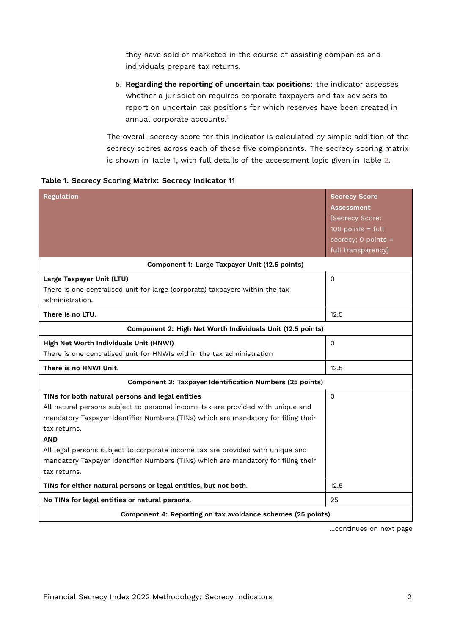they have sold or marketed in the course of assisting companies and individuals prepare tax returns.

<span id="page-1-1"></span>5. **Regarding the reporting of uncertain tax positions**: the indicator assesses whether a jurisdiction requires corporate taxpayers and tax advisers to report on uncertain tax positions for which reserves have been created in annual corporate accounts.[1](#page-15-0)

<span id="page-1-0"></span>The overall secrecy score for this indicator is calculated by simple addition of the secrecy scores across each of these five components. The secrecy scoring matrix is shown in Table [1](#page-1-0), with full details of the assessment logic given in Table [2](#page-6-0).

| <b>Regulation</b>                                                                                                                                                                                                                                                                                                                                                                                                                             | <b>Secrecy Score</b><br><b>Assessment</b><br>[Secrecy Score:<br>100 points = $full$<br>$secrecy$ ; 0 points = |
|-----------------------------------------------------------------------------------------------------------------------------------------------------------------------------------------------------------------------------------------------------------------------------------------------------------------------------------------------------------------------------------------------------------------------------------------------|---------------------------------------------------------------------------------------------------------------|
|                                                                                                                                                                                                                                                                                                                                                                                                                                               | full transparency]                                                                                            |
| Component 1: Large Taxpayer Unit (12.5 points)                                                                                                                                                                                                                                                                                                                                                                                                |                                                                                                               |
| Large Taxpayer Unit (LTU)<br>There is one centralised unit for large (corporate) taxpayers within the tax<br>administration.                                                                                                                                                                                                                                                                                                                  | $\Omega$                                                                                                      |
| There is no LTU.                                                                                                                                                                                                                                                                                                                                                                                                                              | 12.5                                                                                                          |
| Component 2: High Net Worth Individuals Unit (12.5 points)                                                                                                                                                                                                                                                                                                                                                                                    |                                                                                                               |
| High Net Worth Individuals Unit (HNWI)<br>There is one centralised unit for HNWIs within the tax administration                                                                                                                                                                                                                                                                                                                               | $\Omega$                                                                                                      |
| There is no HNWI Unit.                                                                                                                                                                                                                                                                                                                                                                                                                        | 12.5                                                                                                          |
| <b>Component 3: Taxpayer Identification Numbers (25 points)</b>                                                                                                                                                                                                                                                                                                                                                                               |                                                                                                               |
| TINs for both natural persons and legal entities<br>All natural persons subject to personal income tax are provided with unique and<br>mandatory Taxpayer Identifier Numbers (TINs) which are mandatory for filing their<br>tax returns.<br><b>AND</b><br>All legal persons subject to corporate income tax are provided with unique and<br>mandatory Taxpayer Identifier Numbers (TINs) which are mandatory for filing their<br>tax returns. | $\Omega$                                                                                                      |
| TINs for either natural persons or legal entities, but not both.                                                                                                                                                                                                                                                                                                                                                                              | 12.5                                                                                                          |
| No TINs for legal entities or natural persons.                                                                                                                                                                                                                                                                                                                                                                                                | 25                                                                                                            |
| Component 4: Reporting on tax avoidance schemes (25 points)                                                                                                                                                                                                                                                                                                                                                                                   |                                                                                                               |

…continues on next page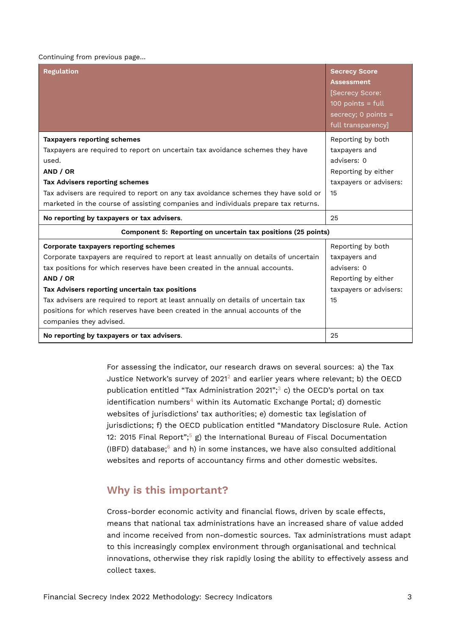#### Continuing from previous page…

| <b>Regulation</b>                                                                                                                                                                                                                                                                                                                                                                                                                                                         | <b>Secrecy Score</b><br><b>Assessment</b><br>[Secrecy Score:<br>$100$ points = full<br>secrecy; $0$ points =<br>full transparency] |
|---------------------------------------------------------------------------------------------------------------------------------------------------------------------------------------------------------------------------------------------------------------------------------------------------------------------------------------------------------------------------------------------------------------------------------------------------------------------------|------------------------------------------------------------------------------------------------------------------------------------|
| <b>Taxpayers reporting schemes</b><br>Taxpayers are required to report on uncertain tax avoidance schemes they have<br>used.<br>AND / OR<br><b>Tax Advisers reporting schemes</b><br>Tax advisers are required to report on any tax avoidance schemes they have sold or<br>marketed in the course of assisting companies and individuals prepare tax returns.                                                                                                             | Reporting by both<br>taxpayers and<br>advisers: 0<br>Reporting by either<br>taxpayers or advisers:<br>15                           |
| No reporting by taxpayers or tax advisers.                                                                                                                                                                                                                                                                                                                                                                                                                                | 25                                                                                                                                 |
| Component 5: Reporting on uncertain tax positions (25 points)                                                                                                                                                                                                                                                                                                                                                                                                             |                                                                                                                                    |
| Corporate taxpayers reporting schemes<br>Corporate taxpayers are required to report at least annually on details of uncertain<br>tax positions for which reserves have been created in the annual accounts.<br>AND / OR<br>Tax Advisers reporting uncertain tax positions<br>Tax advisers are required to report at least annually on details of uncertain tax<br>positions for which reserves have been created in the annual accounts of the<br>companies they advised. | Reporting by both<br>taxpayers and<br>advisers: 0<br>Reporting by either<br>taxpayers or advisers:<br>15                           |
| No reporting by taxpayers or tax advisers.                                                                                                                                                                                                                                                                                                                                                                                                                                | 25                                                                                                                                 |

<span id="page-2-2"></span><span id="page-2-1"></span><span id="page-2-0"></span>For assessing the indicator, our research draws on several sources: a) the Tax Justice Network's survey of  $2021^2$  $2021^2$  and earlier years where relevant; b) the OECD publication entitled "Tax Administration 2021"; $3$  c) the OECD's portal on tax identification numbers<sup>[4](#page-15-3)</sup> within its Automatic Exchange Portal; d) domestic websites of jurisdictions' tax authorities; e) domestic tax legislation of jurisdictions; f) the OECD publication entitled "Mandatory Disclosure Rule. Action 12: 201[5](#page-15-4) Final Report";<sup>5</sup> g) the International Bureau of Fiscal Documentation (IBFD) database; $6$  and h) in some instances, we have also consulted additional websites and reports of accountancy firms and other domestic websites.

### <span id="page-2-4"></span><span id="page-2-3"></span>**Why is this important?**

Cross-border economic activity and financial flows, driven by scale effects, means that national tax administrations have an increased share of value added and income received from non-domestic sources. Tax administrations must adapt to this increasingly complex environment through organisational and technical innovations, otherwise they risk rapidly losing the ability to effectively assess and collect taxes.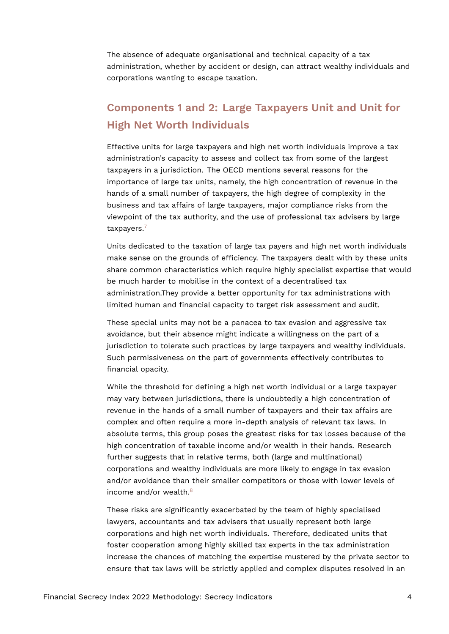The absence of adequate organisational and technical capacity of a tax administration, whether by accident or design, can attract wealthy individuals and corporations wanting to escape taxation.

# **Components 1 and 2: Large Taxpayers Unit and Unit for High Net Worth Individuals**

Effective units for large taxpayers and high net worth individuals improve a tax administration's capacity to assess and collect tax from some of the largest taxpayers in a jurisdiction. The OECD mentions several reasons for the importance of large tax units, namely, the high concentration of revenue in the hands of a small number of taxpayers, the high degree of complexity in the business and tax affairs of large taxpayers, major compliance risks from the viewpoint of the tax authority, and the use of professional tax advisers by large taxpayers.<sup>[7](#page-15-6)</sup>

<span id="page-3-0"></span>Units dedicated to the taxation of large tax payers and high net worth individuals make sense on the grounds of efficiency. The taxpayers dealt with by these units share common characteristics which require highly specialist expertise that would be much harder to mobilise in the context of a decentralised tax administration.They provide a better opportunity for tax administrations with limited human and financial capacity to target risk assessment and audit.

These special units may not be a panacea to tax evasion and aggressive tax avoidance, but their absence might indicate a willingness on the part of a jurisdiction to tolerate such practices by large taxpayers and wealthy individuals. Such permissiveness on the part of governments effectively contributes to financial opacity.

While the threshold for defining a high net worth individual or a large taxpayer may vary between jurisdictions, there is undoubtedly a high concentration of revenue in the hands of a small number of taxpayers and their tax affairs are complex and often require a more in-depth analysis of relevant tax laws. In absolute terms, this group poses the greatest risks for tax losses because of the high concentration of taxable income and/or wealth in their hands. Research further suggests that in relative terms, both (large and multinational) corporations and wealthy individuals are more likely to engage in tax evasion and/or avoidance than their smaller competitors or those with lower levels of income and/or wealth.<sup>[8](#page-15-7)</sup>

<span id="page-3-1"></span>These risks are significantly exacerbated by the team of highly specialised lawyers, accountants and tax advisers that usually represent both large corporations and high net worth individuals. Therefore, dedicated units that foster cooperation among highly skilled tax experts in the tax administration increase the chances of matching the expertise mustered by the private sector to ensure that tax laws will be strictly applied and complex disputes resolved in an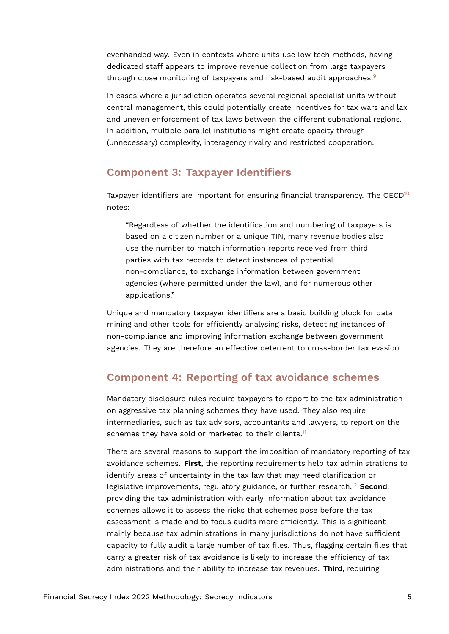evenhanded way. Even in contexts where units use low tech methods, having dedicated staff appears to improve revenue collection from large taxpayers through close monitoring of taxpayers and risk-based audit approaches.<sup>[9](#page-15-8)</sup>

<span id="page-4-0"></span>In cases where a jurisdiction operates several regional specialist units without central management, this could potentially create incentives for tax wars and lax and uneven enforcement of tax laws between the different subnational regions. In addition, multiple parallel institutions might create opacity through (unnecessary) complexity, interagency rivalry and restricted cooperation.

### **Component 3: Taxpayer Identifiers**

Taxpayer identifiers are important for ensuring financial transparency. The OECD<sup>[10](#page-15-9)</sup> notes:

<span id="page-4-1"></span>"Regardless of whether the identification and numbering of taxpayers is based on a citizen number or a unique TIN, many revenue bodies also use the number to match information reports received from third parties with tax records to detect instances of potential non-compliance, to exchange information between government agencies (where permitted under the law), and for numerous other applications."

Unique and mandatory taxpayer identifiers are a basic building block for data mining and other tools for efficiently analysing risks, detecting instances of non-compliance and improving information exchange between government agencies. They are therefore an effective deterrent to cross-border tax evasion.

# **Component 4: Reporting of tax avoidance schemes**

Mandatory disclosure rules require taxpayers to report to the tax administration on aggressive tax planning schemes they have used. They also require intermediaries, such as tax advisors, accountants and lawyers, to report on the schemes they have sold or marketed to their clients.<sup>[11](#page-15-10)</sup>

<span id="page-4-3"></span><span id="page-4-2"></span>There are several reasons to support the imposition of mandatory reporting of tax avoidance schemes. **First**, the reporting requirements help tax administrations to identify areas of uncertainty in the tax law that may need clarification or legislative improvements, regulatory guidance, or further research.[12](#page-15-11) **Second**, providing the tax administration with early information about tax avoidance schemes allows it to assess the risks that schemes pose before the tax assessment is made and to focus audits more efficiently. This is significant mainly because tax administrations in many jurisdictions do not have sufficient capacity to fully audit a large number of tax files. Thus, flagging certain files that carry a greater risk of tax avoidance is likely to increase the efficiency of tax administrations and their ability to increase tax revenues. **Third**, requiring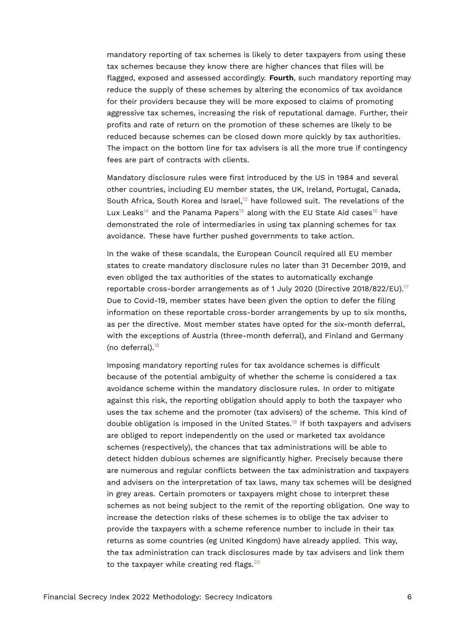mandatory reporting of tax schemes is likely to deter taxpayers from using these tax schemes because they know there are higher chances that files will be flagged, exposed and assessed accordingly. **Fourth**, such mandatory reporting may reduce the supply of these schemes by altering the economics of tax avoidance for their providers because they will be more exposed to claims of promoting aggressive tax schemes, increasing the risk of reputational damage. Further, their profits and rate of return on the promotion of these schemes are likely to be reduced because schemes can be closed down more quickly by tax authorities. The impact on the bottom line for tax advisers is all the more true if contingency fees are part of contracts with clients.

<span id="page-5-3"></span><span id="page-5-2"></span><span id="page-5-1"></span><span id="page-5-0"></span>Mandatory disclosure rules were first introduced by the US in 1984 and several other countries, including EU member states, the UK, Ireland, Portugal, Canada, South Africa, South Korea and Israel, $13$  have followed suit. The revelations of the Lux Leaks<sup>[14](#page-16-0)</sup> and the Panama Papers<sup>[15](#page-16-1)</sup> along with the EU State Aid cases<sup>[16](#page-16-2)</sup> have demonstrated the role of intermediaries in using tax planning schemes for tax avoidance. These have further pushed governments to take action.

<span id="page-5-4"></span>In the wake of these scandals, the European Council required all EU member states to create mandatory disclosure rules no later than 31 December 2019, and even obliged the tax authorities of the states to automatically exchange reportable cross-border arrangements as of 1 July 2020 (Directive 2018/822/EU).<sup>[17](#page-16-3)</sup> Due to Covid-19, member states have been given the option to defer the filing information on these reportable cross-border arrangements by up to six months, as per the directive. Most member states have opted for the six-month deferral, with the exceptions of Austria (three-month deferral), and Finland and Germany (no deferral). $18$ 

<span id="page-5-7"></span><span id="page-5-6"></span><span id="page-5-5"></span>Imposing mandatory reporting rules for tax avoidance schemes is difficult because of the potential ambiguity of whether the scheme is considered a tax avoidance scheme within the mandatory disclosure rules. In order to mitigate against this risk, the reporting obligation should apply to both the taxpayer who uses the tax scheme and the promoter (tax advisers) of the scheme. This kind of double obligation is imposed in the United States.[19](#page-16-5) If both taxpayers and advisers are obliged to report independently on the used or marketed tax avoidance schemes (respectively), the chances that tax administrations will be able to detect hidden dubious schemes are significantly higher. Precisely because there are numerous and regular conflicts between the tax administration and taxpayers and advisers on the interpretation of tax laws, many tax schemes will be designed in grey areas. Certain promoters or taxpayers might chose to interpret these schemes as not being subject to the remit of the reporting obligation. One way to increase the detection risks of these schemes is to oblige the tax adviser to provide the taxpayers with a scheme reference number to include in their tax returns as some countries (eg United Kingdom) have already applied. This way, the tax administration can track disclosures made by tax advisers and link them to the taxpayer while creating red flags.<sup>[20](#page-16-6)</sup>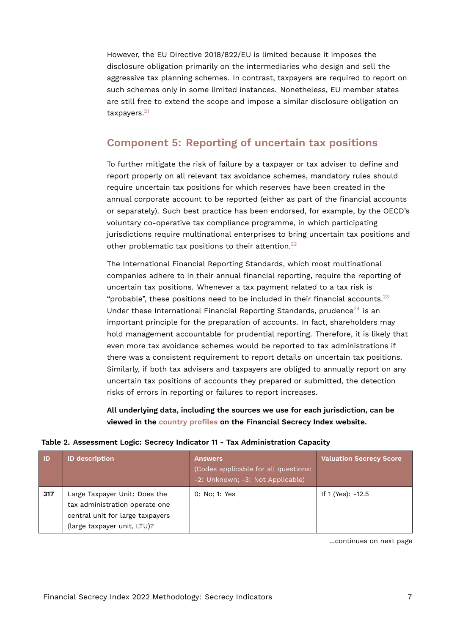However, the EU Directive 2018/822/EU is limited because it imposes the disclosure obligation primarily on the intermediaries who design and sell the aggressive tax planning schemes. In contrast, taxpayers are required to report on such schemes only in some limited instances. Nonetheless, EU member states are still free to extend the scope and impose a similar disclosure obligation on taxpayers.<sup>[21](#page-16-7)</sup>

# <span id="page-6-1"></span>**Component 5: Reporting of uncertain tax positions**

To further mitigate the risk of failure by a taxpayer or tax adviser to define and report properly on all relevant tax avoidance schemes, mandatory rules should require uncertain tax positions for which reserves have been created in the annual corporate account to be reported (either as part of the financial accounts or separately). Such best practice has been endorsed, for example, by the OECD's voluntary co-operative tax compliance programme, in which participating jurisdictions require multinational enterprises to bring uncertain tax positions and other problematic tax positions to their attention.<sup>[22](#page-16-8)</sup>

<span id="page-6-2"></span>The International Financial Reporting Standards, which most multinational companies adhere to in their annual financial reporting, require the reporting of uncertain tax positions. Whenever a tax payment related to a tax risk is "probable", these positions need to be included in their financial accounts.<sup>[23](#page-16-9)</sup> Under these International Financial Reporting Standards, prudence<sup>[24](#page-16-10)</sup> is an important principle for the preparation of accounts. In fact, shareholders may hold management accountable for prudential reporting. Therefore, it is likely that even more tax avoidance schemes would be reported to tax administrations if there was a consistent requirement to report details on uncertain tax positions. Similarly, if both tax advisers and taxpayers are obliged to annually report on any uncertain tax positions of accounts they prepared or submitted, the detection risks of errors in reporting or failures to report increases.

<span id="page-6-0"></span>**All underlying data, including the sources we use for each jurisdiction, can be viewed in the [country profiles](https://fsi.taxjustice.net/country-detail) on the Financial Secrecy Index website.**

|  |  | Table 2. Assessment Logic: Secrecy Indicator 11 - Tax Administration Capacity |  |  |  |  |  |
|--|--|-------------------------------------------------------------------------------|--|--|--|--|--|
|--|--|-------------------------------------------------------------------------------|--|--|--|--|--|

| <b>ID</b> | <b>ID description</b>                                                                                                              | <b>Answers</b><br>(Codes applicable for all questions:<br>-2: Unknown; -3: Not Applicable) | <b>Valuation Secrecy Score</b> |
|-----------|------------------------------------------------------------------------------------------------------------------------------------|--------------------------------------------------------------------------------------------|--------------------------------|
| 317       | Large Taxpayer Unit: Does the<br>tax administration operate one<br>central unit for large taxpayers<br>(large taxpayer unit, LTU)? | 0: No: 1: Yes                                                                              | If 1 (Yes): -12.5              |

<span id="page-6-4"></span><span id="page-6-3"></span>…continues on next page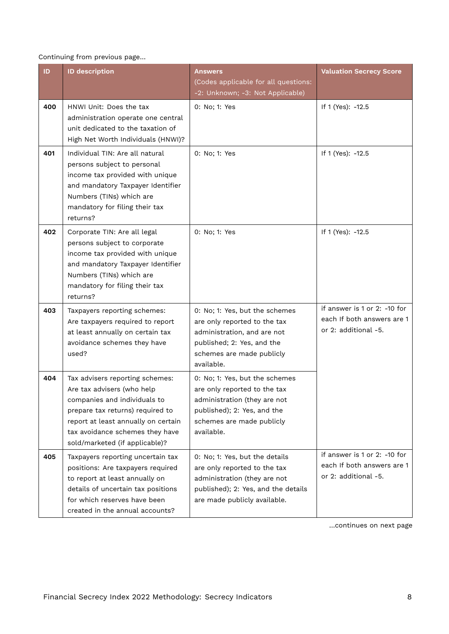#### Continuing from previous page…

| ID. | <b>ID description</b>                                                                                                                                                                                                                         | <b>Answers</b>                                                                                                                                                           | <b>Valuation Secrecy Score</b>                                                     |
|-----|-----------------------------------------------------------------------------------------------------------------------------------------------------------------------------------------------------------------------------------------------|--------------------------------------------------------------------------------------------------------------------------------------------------------------------------|------------------------------------------------------------------------------------|
|     |                                                                                                                                                                                                                                               | (Codes applicable for all questions:<br>-2: Unknown; -3: Not Applicable)                                                                                                 |                                                                                    |
| 400 | HNWI Unit: Does the tax<br>administration operate one central<br>unit dedicated to the taxation of<br>High Net Worth Individuals (HNWI)?                                                                                                      | 0: No; 1: Yes                                                                                                                                                            | If 1 (Yes): -12.5                                                                  |
| 401 | Individual TIN: Are all natural<br>persons subject to personal<br>income tax provided with unique<br>and mandatory Taxpayer Identifier<br>Numbers (TINs) which are<br>mandatory for filing their tax<br>returns?                              | 0: No; 1: Yes                                                                                                                                                            | If 1 (Yes): -12.5                                                                  |
| 402 | Corporate TIN: Are all legal<br>persons subject to corporate<br>income tax provided with unique<br>and mandatory Taxpayer Identifier<br>Numbers (TINs) which are<br>mandatory for filing their tax<br>returns?                                | 0: No; 1: Yes                                                                                                                                                            | If 1 (Yes): -12.5                                                                  |
| 403 | Taxpayers reporting schemes:<br>Are taxpayers required to report<br>at least annually on certain tax<br>avoidance schemes they have<br>used?                                                                                                  | 0: No; 1: Yes, but the schemes<br>are only reported to the tax<br>administration, and are not<br>published; 2: Yes, and the<br>schemes are made publicly<br>available.   | if answer is 1 or 2: -10 for<br>each If both answers are 1<br>or 2: additional -5. |
| 404 | Tax advisers reporting schemes:<br>Are tax advisers (who help<br>companies and individuals to<br>prepare tax returns) required to<br>report at least annually on certain<br>tax avoidance schemes they have<br>sold/marketed (if applicable)? | 0: No; 1: Yes, but the schemes<br>are only reported to the tax<br>administration (they are not<br>published); 2: Yes, and the<br>schemes are made publicly<br>available. |                                                                                    |
| 405 | Taxpayers reporting uncertain tax<br>positions: Are taxpayers required<br>to report at least annually on<br>details of uncertain tax positions<br>for which reserves have been<br>created in the annual accounts?                             | 0: No; 1: Yes, but the details<br>are only reported to the tax<br>administration (they are not<br>published); 2: Yes, and the details<br>are made publicly available.    | if answer is 1 or 2: -10 for<br>each If both answers are 1<br>or 2: additional -5. |

…continues on next page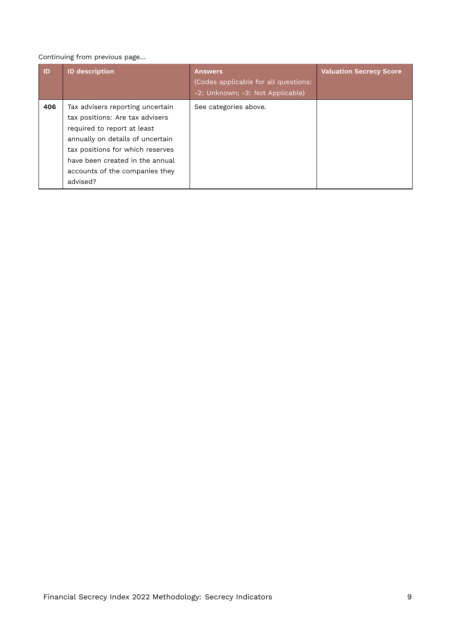#### Continuing from previous page…

| ID  | <b>ID description</b>                                                                                                                                                                                                                                       | <b>Answers</b><br>(Codes applicable for all questions:<br>-2: Unknown; -3: Not Applicable) | <b>Valuation Secrecy Score</b> |
|-----|-------------------------------------------------------------------------------------------------------------------------------------------------------------------------------------------------------------------------------------------------------------|--------------------------------------------------------------------------------------------|--------------------------------|
| 406 | Tax advisers reporting uncertain<br>tax positions: Are tax advisers<br>required to report at least<br>annually on details of uncertain<br>tax positions for which reserves<br>have been created in the annual<br>accounts of the companies they<br>advised? | See categories above.                                                                      |                                |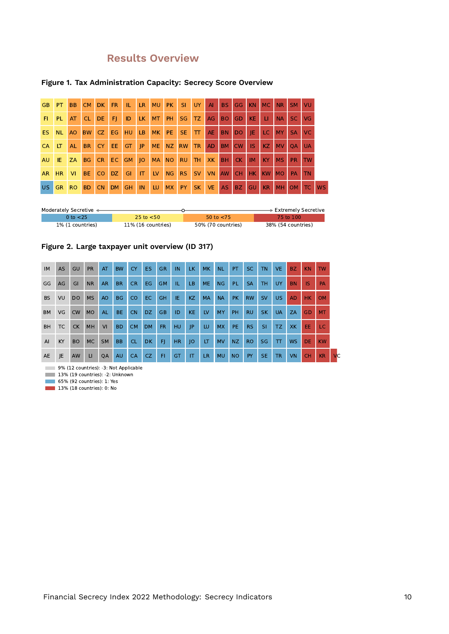# **Results Overview**

#### **Figure 1. Tax Administration Capacity: Secrecy Score Overview**

| GB.       | PT.       | <b>BB</b>      | <b>CM</b> | DK        | FR.       | - IL-       | LR. | <b>MU</b> | PK SI     |            | <b>UY</b> | AI        | BS.       | GG.       | KN        | MC NR     |           | SM VU           |           |           |
|-----------|-----------|----------------|-----------|-----------|-----------|-------------|-----|-----------|-----------|------------|-----------|-----------|-----------|-----------|-----------|-----------|-----------|-----------------|-----------|-----------|
| FI.       | <b>PL</b> | <b>AT</b>      | <b>CL</b> | DE.       | FL.       | ID          | LK. | <b>MT</b> | PH.       | <b>SG</b>  | TZ.       | AG        | <b>BO</b> | <b>GD</b> | KE.       | -LI.      | <b>NA</b> | SC.             | VG        |           |
| ES.       | NL.       | AO             | <b>BW</b> | CZ.       | EG        | HU          | LB. | MK        | PE.       | <b>ISE</b> | $\top$    | <b>AE</b> | BN.       | DO.       | IE.       | LC.       | <b>MY</b> | <b>SA</b>       | <b>VC</b> |           |
| <b>CA</b> | LT        | <b>AL</b>      | <b>BR</b> | CY.       | EE.       | GT.         | P   | <b>ME</b> | NZ        | <b>RW</b>  | <b>TR</b> | <b>AD</b> | BM        | <b>CW</b> | -IS       | KZ.       | <b>MV</b> | $\overline{OA}$ | <b>UA</b> |           |
| <b>AU</b> | IE.       | <b>ZA</b>      | <b>BG</b> |           |           | CR EC GM JO |     | MA NO     |           | <b>RU</b>  | <b>TH</b> | <b>XK</b> | BH.       | CK        | <b>IM</b> | KY.       | <b>MS</b> | <b>PR</b>       | <b>TW</b> |           |
| AR        | <b>HR</b> | <b>VI</b>      | BE.       | CO.       | DZ.       | <b>GI</b>   | IT  | <b>LV</b> | <b>NG</b> | RS.        | SV        | <b>VN</b> | AW        | CH.       | HK        | <b>KW</b> | <b>MO</b> | <b>PA</b>       | <b>TN</b> |           |
| <b>US</b> | <b>GR</b> | R <sub>O</sub> | <b>BD</b> | <b>CN</b> | <b>DM</b> | <b>GH</b>   | IN  | LU        | <b>MX</b> | PY.        | SK VE     |           | AS.       | <b>BZ</b> | <b>GU</b> | <b>KR</b> | <b>MH</b> | <b>OM</b>       | TC.       | <b>WS</b> |

| Moderately Secretive < |                    |                    | $\overline{\phantom{1}}$ Extremely Secretive |
|------------------------|--------------------|--------------------|----------------------------------------------|
| 0 to <25               | 25 to $<$ 50       | 50 to $<$ 75       | 75 to 100                                    |
| 1% (1 countries)       | 11% (16 countries) | 50% (70 countries) | 38% (54 countries)                           |



| <b>IM</b> | <b>AS</b> | GU        | <b>PR</b> | AT        | <b>BW</b>      | <b>CY</b> | ES.       | <b>GR</b> | IN        | LK.       | <b>MK</b> | <b>NL</b> | PT.       | SC.       | <b>TN</b> | <b>VE</b> | BZ.       | <b>KN</b> | <b>TW</b> |           |
|-----------|-----------|-----------|-----------|-----------|----------------|-----------|-----------|-----------|-----------|-----------|-----------|-----------|-----------|-----------|-----------|-----------|-----------|-----------|-----------|-----------|
| GG        | AG        | GI        | <b>NR</b> | <b>AR</b> | <b>BR</b>      | CR.       | EG.       | <b>GM</b> | TL.       | LB.       | <b>ME</b> | NG        | PL.       | <b>SA</b> | <b>TH</b> | <b>UY</b> | <b>BN</b> | <b>IS</b> | <b>PA</b> |           |
| <b>BS</b> | VU        | <b>DO</b> | <b>MS</b> | AO        | <b>BG</b>      | CO.       | EC.       | <b>GH</b> | IE.       | KZ.       | <b>MA</b> | <b>NA</b> | PK.       | <b>RW</b> | <b>SV</b> | US.       | <b>AD</b> | HK        | <b>OM</b> |           |
| <b>BM</b> | VG        | <b>CW</b> | <b>MO</b> | <b>AL</b> | BE.            | <b>CN</b> | DZ.       | <b>GB</b> | ID        | <b>KE</b> | LV        | MY        | <b>PH</b> | <b>RU</b> | <b>SK</b> | <b>UA</b> | ZA        | GD        | <b>MT</b> |           |
| <b>BH</b> | TC .      | <b>CK</b> | <b>MH</b> | VI        | B <sub>D</sub> | CM.       | <b>DM</b> | FR.       | HU        | JP        | LU.       | <b>MX</b> | PE.       | RS.       | <b>SI</b> | TZ.       | <b>XK</b> | EE.       | LC.       |           |
| AI        | KY.       | <b>BO</b> | <b>MC</b> | <b>SM</b> | <b>BB</b>      | CL.       | DK.       | F1        | <b>HR</b> | O         | LT        | <b>MV</b> | NZ        | RO.       | <b>SG</b> | $\pi$     | <b>WS</b> | DE.       | KW        |           |
| AE        | JE        | AW        | LI.       | QA        | AU             | CA        | CZ.       | F1        | <b>GT</b> | IT        | LR.       | <b>MU</b> | <b>NO</b> | PY        | SE.       | <b>TR</b> | VN        | <b>CH</b> | <b>KR</b> | <b>VC</b> |

9% (12 countries): -3: Not Applicable

13% (19 countries): -2: Unknown

65% (92 countries): 1: Yes

13% (18 countries): 0: No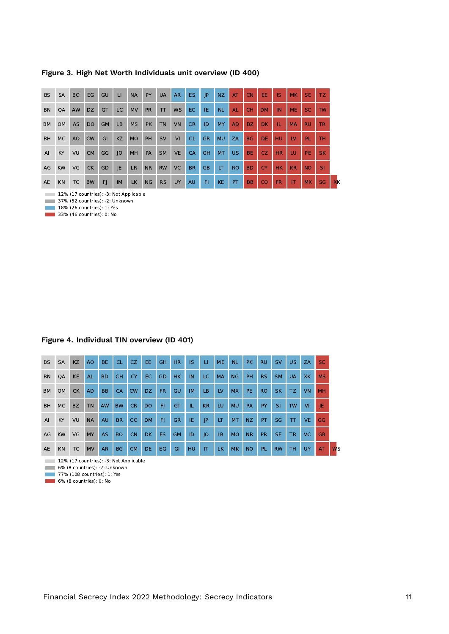**Figure 3. High Net Worth Individuals unit overview (ID 400)**

| <b>BS</b> | <b>SA</b> | <b>BO</b>      | EG             | GU        | $\sqcup$  | <b>NA</b> | <b>PY</b> | <b>UA</b> | <b>AR</b> | <b>ES</b> | JP        | NZ.       | AT        | <b>CN</b> | EE.           | <b>IS</b> | <b>MK</b>      | SE.        | TZ.       |    |
|-----------|-----------|----------------|----------------|-----------|-----------|-----------|-----------|-----------|-----------|-----------|-----------|-----------|-----------|-----------|---------------|-----------|----------------|------------|-----------|----|
| <b>BN</b> | QA        | AW             | <b>DZ</b>      | <b>GT</b> | <b>LC</b> | <b>MV</b> | <b>PR</b> | TT        | <b>WS</b> | EC.       | IE.       | <b>NL</b> | <b>AL</b> | <b>CH</b> | <b>DM</b>     | IN        | <b>ME</b>      | SC.        | <b>TW</b> |    |
| <b>BM</b> | <b>OM</b> | <b>AS</b>      | D <sub>O</sub> | <b>GM</b> | <b>LB</b> | <b>MS</b> | <b>PK</b> | <b>TN</b> | <b>VN</b> | <b>CR</b> | ID        | <b>MY</b> | <b>AD</b> | BZ.       | <b>DK</b>     | TL.       | <b>MA</b>      | <b>RU</b>  | <b>TR</b> |    |
| <b>BH</b> | MC        | A <sub>O</sub> | <b>CW</b>      | GI        | <b>KZ</b> | <b>MO</b> | PH        | <b>SV</b> | VI        | <b>CL</b> | <b>GR</b> | <b>MU</b> | ZA        | <b>BG</b> | DE.           | HU        | $_{\text{IV}}$ | <b>PL</b>  | <b>TH</b> |    |
| AI        | KY        | VU             | <b>CM</b>      | GG        | O         | MH        | PA        | <b>SM</b> | <b>VE</b> | <b>CA</b> | <b>GH</b> | <b>MT</b> | US.       | <b>BE</b> | CZ.           | <b>HR</b> | LU             | <b>TEL</b> | <b>SK</b> |    |
| AG        | <b>KW</b> | VG             | <b>CK</b>      | GD        | JE.       | <b>LR</b> | <b>NR</b> | <b>RW</b> | <b>VC</b> | <b>BR</b> | <b>GB</b> | LT        | <b>RO</b> | <b>BD</b> | <b>CY</b>     | <b>HK</b> | <b>KR</b>      | NO.        | <b>SI</b> |    |
| AE        | <b>KN</b> | <b>TC</b>      | <b>BW</b>      | F         | <b>IM</b> | <b>LK</b> | NG        | <b>RS</b> | UY        | AU        | FI.       | <b>KE</b> | PT.       | <b>BB</b> | <sub>CO</sub> | <b>FR</b> | <b>IT</b>      | <b>MX</b>  | <b>SG</b> | XK |

12% (17 countries): -3: Not Applicable

37% (52 countries): -2: Unknown **18% (26 countries): 1: Yes** 

**33% (46 countries): 0: No** 

#### **Figure 4. Individual TIN overview (ID 401)**

| <b>BS</b>      | <b>SA</b> | <b>KZ</b> | A <sub>O</sub> | <b>BE</b> | CL        | CZ.       | EE.       | GH        | H <sub>R</sub> | <b>IS</b> | <b>LI</b> | <b>ME</b> | <b>NL</b> | <b>PK</b> | <b>RU</b> | <b>SV</b> | US.          | <b>ZA</b> | SC.       |
|----------------|-----------|-----------|----------------|-----------|-----------|-----------|-----------|-----------|----------------|-----------|-----------|-----------|-----------|-----------|-----------|-----------|--------------|-----------|-----------|
| <b>BN</b>      | QA        | <b>KE</b> | AL.            | <b>BD</b> | <b>CH</b> | <b>CY</b> | EC.       | GD        | HK.            | IN        | LC.       | <b>MA</b> | NG        | <b>PH</b> | <b>RS</b> | <b>SM</b> | <b>UA</b>    | XK.       | <b>MS</b> |
| <b>BM</b>      | <b>OM</b> | CK        | <b>AD</b>      | <b>BB</b> | CA        | <b>CW</b> | DZ.       | FR.       | GU             | <b>IM</b> | LB.       | LV        | MX.       | PE.       | <b>RO</b> | <b>SK</b> | TZ.          | <b>VN</b> | <b>MH</b> |
| <b>BH</b>      | MC.       | <b>BZ</b> | <b>TN</b>      | <b>AW</b> | <b>BW</b> | <b>CR</b> | <b>DO</b> | F         | GT             | IL.       | <b>KR</b> | LU        | <b>MU</b> | <b>PA</b> | <b>PY</b> | <b>SI</b> | <b>TW</b>    | <b>VI</b> | IE.       |
| $\overline{A}$ | KY        | VU        | <b>NA</b>      | <b>AU</b> | <b>BR</b> | CO        | <b>DM</b> | F1        | <b>GR</b>      | IE        | JP        | LT        | MT        | NZ.       | PT.       | <b>SG</b> | $\mathsf{T}$ | <b>VE</b> | GG        |
| AG             | <b>KW</b> | VG        | MY             | AS.       | <b>BO</b> | <b>CN</b> | <b>DK</b> | <b>ES</b> | <b>GM</b>      | ID        | JO        | <b>LR</b> | <b>MO</b> | <b>NR</b> | <b>PR</b> | <b>SE</b> | <b>TR</b>    | VC.       | <b>GB</b> |
| AE             | <b>KN</b> | <b>TC</b> | <b>MV</b>      | <b>AR</b> | <b>BG</b> | <b>CM</b> | <b>DE</b> | <b>EG</b> | GI             | <b>HU</b> | IT        | <b>LK</b> | <b>MK</b> | <b>NO</b> | PL.       | <b>RW</b> | тн           | <b>UY</b> | AT        |

12% (17 countries): -3: Not Applicable

6% (8 countries): -2: Unknown

77% (108 countries): 1: Yes

6% (8 countries): 0: No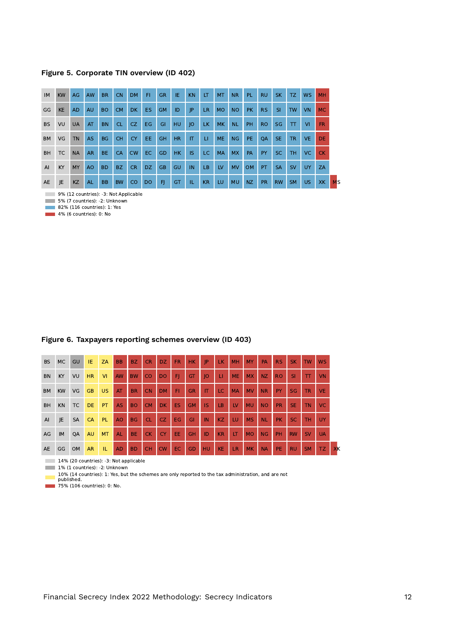**Figure 5. Corporate TIN overview (ID 402)**

| IM             | <b>KW</b> | AG        | <b>AW</b> | <b>BR</b> | <b>CN</b> | <b>DM</b> | FI.       | <b>GR</b> | IE        | <b>KN</b> | LT        | <b>MT</b> | <b>NR</b> | PL.       | <b>RU</b> | <b>SK</b> | TZ.       | <b>WS</b> | <b>MH</b> |
|----------------|-----------|-----------|-----------|-----------|-----------|-----------|-----------|-----------|-----------|-----------|-----------|-----------|-----------|-----------|-----------|-----------|-----------|-----------|-----------|
| GG             | <b>KE</b> | <b>AD</b> | <b>AU</b> | <b>BO</b> | <b>CM</b> | DK.       | ES.       | <b>GM</b> | ID        | P         | <b>LR</b> | <b>MO</b> | <b>NO</b> | PK.       | RS.       | -SI       | <b>TW</b> | <b>VN</b> | <b>MC</b> |
| <b>BS</b>      | VU        | <b>UA</b> | AT        | <b>BN</b> | <b>CL</b> | CZ.       | EG        | GI        | <b>HU</b> | 0         | LK.       | <b>MK</b> | <b>NL</b> | <b>PH</b> | <b>RO</b> | <b>SG</b> | $\top$    | <b>VI</b> | FR.       |
| <b>BM</b>      | VG        | <b>TN</b> | <b>AS</b> | <b>BG</b> | <b>CH</b> | <b>CY</b> | EE.       | GH        | <b>HR</b> | IT        | <b>LI</b> | <b>ME</b> | <b>NG</b> | PE.       | <b>OA</b> | <b>SE</b> | <b>TR</b> | <b>VE</b> | <b>DE</b> |
| <b>BH</b>      | TC        | <b>NA</b> | <b>AR</b> | BE.       | <b>CA</b> | <b>CW</b> | EC.       | GD        | HK        | <b>IS</b> | LC.       | <b>MA</b> | <b>MX</b> | PA        | <b>PY</b> | SC.       | TH.       | VC.       | <b>CK</b> |
| A <sub>l</sub> | KY        | MY        | AO        | <b>BD</b> | BZ        | CR.       | DZ.       | <b>GB</b> | GU        | IN        | LB        | LV        | <b>MV</b> | <b>OM</b> | PT.       | <b>SA</b> | <b>SV</b> | <b>UY</b> | ZA        |
| AE             | JE        | <b>KZ</b> | <b>AL</b> | <b>BB</b> | <b>BW</b> | <b>CO</b> | <b>DO</b> | FJ.       | GT        | IL.       | <b>KR</b> | LU        | <b>MU</b> | NZ.       | <b>PR</b> | <b>RW</b> | <b>SM</b> | US.       | <b>XK</b> |

9% (12 countries): -3: Not Applicable

5% (7 countries): -2: Unknown

**82% (116 countries): 1: Yes 4% (6 countries): 0: No** 

**Figure 6. Taxpayers reporting schemes overview (ID 403)**

| <b>BS</b> | MC        | GU        | IE.       | <b>ZA</b> | <b>BB</b> | BZ.       | <b>CR</b> | DZ.       | <b>FR</b> | <b>HK</b> | IP        | LK.       | MH        | <b>MY</b> | PA        | <b>RS</b> | SK.       | <b>TW</b> | <b>WS</b> |
|-----------|-----------|-----------|-----------|-----------|-----------|-----------|-----------|-----------|-----------|-----------|-----------|-----------|-----------|-----------|-----------|-----------|-----------|-----------|-----------|
| BN        | KY.       | VU        | <b>HR</b> | <b>VI</b> | AW        | <b>BW</b> | CO        | <b>DO</b> | FI        | <b>GT</b> | O         | ш         | <b>ME</b> | <b>MX</b> | NZ.       | <b>RO</b> | <b>SI</b> | TT        | <b>VN</b> |
| <b>BM</b> | <b>KW</b> | VG        | <b>GB</b> | <b>US</b> | AT        | <b>BR</b> | <b>CN</b> | <b>DM</b> | FI        | <b>GR</b> | IT        | LC        | <b>MA</b> | <b>MV</b> | <b>NR</b> | PY        | <b>SG</b> | TR.       | VE.       |
| <b>BH</b> | <b>KN</b> | TC        | <b>DE</b> | <b>PT</b> | <b>AS</b> | <b>BO</b> | <b>CM</b> | <b>DK</b> | <b>ES</b> | <b>GM</b> | IS        | LB        | LV        | <b>MU</b> | <b>NO</b> | <b>PR</b> | SE.       | <b>TN</b> | <b>VC</b> |
| AI        | JE        | <b>SA</b> | <b>CA</b> | PL.       | <b>AO</b> | <b>BG</b> | <b>CL</b> | CZ.       | EG.       | GI        | IN        | <b>KZ</b> | LU        | <b>MS</b> | <b>NL</b> | <b>PK</b> | <b>SC</b> | <b>TH</b> | <b>UY</b> |
| AG        | IM        | QA        | <b>AU</b> | <b>MT</b> | <b>AL</b> | BE.       | CK.       | <b>CY</b> | EE.       | <b>GH</b> | ID        | <b>KR</b> | LT        | <b>MO</b> | NG        | PH        | <b>RW</b> | <b>SV</b> | <b>UA</b> |
| AE        | GG        | <b>OM</b> | <b>AR</b> | TL.       | <b>AD</b> | <b>BD</b> | <b>CH</b> | <b>CW</b> | EC        | <b>GD</b> | <b>HU</b> | <b>KE</b> | <b>LR</b> | <b>MK</b> | <b>NA</b> | PE.       | <b>RU</b> | <b>SM</b> | TZ.       |

14% (20 countries): -3: Not applicable

1% (1 countries): -2: Unknown

10% (14 countries): 1: Yes, but the schemes are only reported to the tax administration, and are not published.

**75% (106 countries): 0: No.**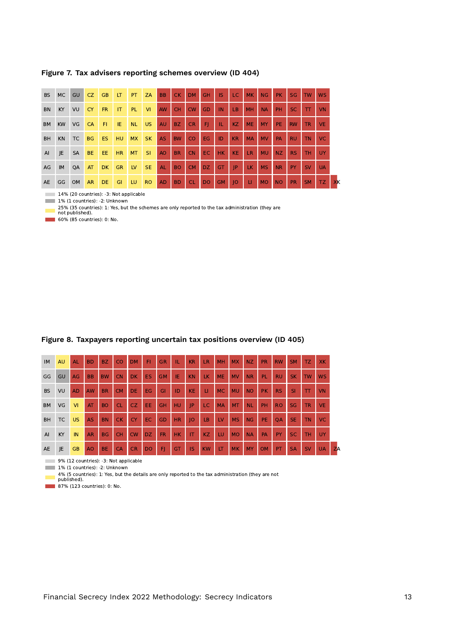**Figure 7. Tax advisers reporting schemes overview (ID 404)**

| <b>BS</b>      | <b>MC</b> | GU        | CZ.       | <b>GB</b> | LT        | PT.       | <b>ZA</b> | <b>BB</b> | <b>CK</b> | <b>DM</b> | <b>GH</b>       | <b>IS</b> | LC.       | <b>MK</b> | NG        | PK.       | SG        | <b>TW</b>              | <b>WS</b> |    |
|----------------|-----------|-----------|-----------|-----------|-----------|-----------|-----------|-----------|-----------|-----------|-----------------|-----------|-----------|-----------|-----------|-----------|-----------|------------------------|-----------|----|
| <b>BN</b>      | KY.       | VU        | <b>CY</b> | <b>FR</b> | <b>IT</b> | PL.       | <b>VI</b> | AW        | <b>CH</b> | <b>CW</b> | GD              | IN        | <b>LB</b> | <b>MH</b> | <b>NA</b> | PH        | <b>SC</b> | $\mathsf{T}\mathsf{T}$ | <b>VN</b> |    |
| <b>BM</b>      | <b>KW</b> | VG        | <b>CA</b> | F1        | IE.       | <b>NL</b> | <b>US</b> | <b>AU</b> | <b>BZ</b> | <b>CR</b> | FI              | TL.       | KZ        | <b>ME</b> | <b>MY</b> | <b>PE</b> | <b>RW</b> | <b>TR</b>              | <b>VE</b> |    |
| <b>BH</b>      | <b>KN</b> | TC        | <b>BG</b> | ES.       | HU.       | <b>MX</b> | <b>SK</b> | <b>AS</b> | <b>BW</b> | CO.       | EG.             | ID        | <b>KR</b> | <b>MA</b> | <b>MV</b> | PA        | <b>RU</b> | <b>TN</b>              | VC.       |    |
| $\overline{A}$ | JE.       | <b>SA</b> | BE.       | EE.       | HR.       | <b>MT</b> | <b>SI</b> | <b>AO</b> | <b>BR</b> | <b>CN</b> | EC.             | HK.       | KE.       | <b>LR</b> | <b>MU</b> | NZ        | RS.       | <b>TH</b>              | UY        |    |
| AG             | IM.       | QA        | AT        | DK.       | <b>GR</b> | <b>LV</b> | <b>SE</b> | <b>AL</b> | <b>BO</b> | <b>CM</b> | DZ <sup>1</sup> | GT        | IP        | LK.       | <b>MS</b> | <b>NR</b> | PY.       | <b>SV</b>              | <b>UA</b> |    |
| AE             | GG OM     |           | <b>AR</b> | <b>DE</b> | GI        | LU.       | <b>RO</b> | <b>AD</b> | <b>BD</b> | <b>CL</b> | <b>DO</b>       | <b>GM</b> | O         | u         | <b>MO</b> | <b>NO</b> | <b>PR</b> | <b>SM</b>              | TZ.       | XK |

14% (20 countries): -3: Not applicable

1% (1 countries): -2: Unknown

25% (35 countries): 1: Yes, but the schemes are only reported to the tax administration (they are not published).

**60% (85 countries): 0: No.** 

| IM        | <b>AU</b> | <b>AL</b> | <b>BD</b> | <b>BZ</b> | <b>CO</b> | <b>DM</b> | F1        | <b>GR</b> | TL.       | <b>KR</b> | <b>LR</b> | MH             | <b>MX</b> | NZ.       | <b>PR</b> | <b>RW</b> | <b>SM</b> | TZ.       | <b>XK</b> |    |
|-----------|-----------|-----------|-----------|-----------|-----------|-----------|-----------|-----------|-----------|-----------|-----------|----------------|-----------|-----------|-----------|-----------|-----------|-----------|-----------|----|
| GG        | GU        | AG        | <b>BB</b> | <b>BW</b> | CN        | DK.       | <b>ES</b> | <b>GM</b> | IE.       | <b>KN</b> | LK.       | <b>ME</b>      | <b>MV</b> | <b>NR</b> | PL.       | <b>RU</b> | <b>SK</b> | <b>TW</b> | <b>WS</b> |    |
| <b>BS</b> | VU        | <b>AD</b> | <b>AW</b> | <b>BR</b> | <b>CM</b> | DE.       | EG.       | GI        | ID        | <b>KE</b> | П         | <b>MC</b>      | <b>MU</b> | <b>NO</b> | <b>PK</b> | <b>RS</b> | <b>SI</b> | $\top$    | <b>VN</b> |    |
| <b>BM</b> | VG        | <b>VI</b> | AT        | <b>BO</b> | <b>CL</b> | CZ.       | EE        | <b>GH</b> | HU        | IP        | LC.       | <b>MA</b>      | <b>MT</b> | <b>NL</b> | PH        | <b>RO</b> | <b>SG</b> | <b>TR</b> | <b>VE</b> |    |
| <b>BH</b> | TC        | <b>US</b> | <b>AS</b> | <b>BN</b> | <b>CK</b> | <b>CY</b> | EC.       | GD        | <b>HR</b> | IO        | LB        | $_{\text{LV}}$ | <b>MS</b> | NG        | PE.       | <b>OA</b> | <b>SE</b> | <b>TN</b> | <b>VC</b> |    |
| AI        | KY        | IN        | <b>AR</b> | <b>BG</b> | <b>CH</b> | <b>CW</b> | DZ.       | FR.       | <b>HK</b> | IT.       | KZ.       | LU             | <b>MO</b> | <b>NA</b> | PA        | PY        | SC.       | <b>TH</b> | <b>UY</b> |    |
| AE        | JE        | <b>GB</b> | AO        | <b>BE</b> | CA        | <b>CR</b> | <b>DO</b> | F)        | <b>GT</b> | IS        | <b>KW</b> | LT             | <b>MK</b> | <b>MY</b> | <b>OM</b> | PT        | <b>SA</b> | <b>SV</b> | <b>UA</b> | ZA |

#### **Figure 8. Taxpayers reporting uncertain tax positions overview (ID 405)**

9% (12 countries): -3: Not applicable<br>1% (1 countries): -2: Unknown

1% (1 countries): -2: Unknown 4% (5 countries): 1: Yes, but the details are only reported to the tax administration (they are not published).

÷.

**87% (123 countries): 0: No.**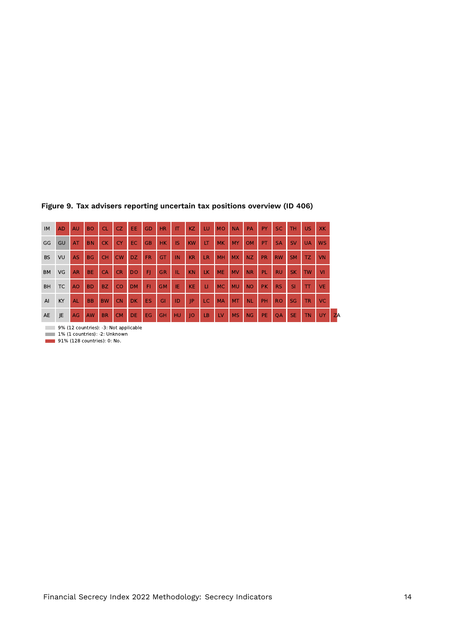| IM        | <b>AD</b> | AU        | <b>BO</b> | <b>CL</b> | CZ.       | EE        | GD        | <b>HR</b> | IT  | KZ        | LU           | <b>MO</b> | <b>NA</b> | PA        | PY        | <b>SC</b> | <b>TH</b> | <b>US</b>    | XK.       |           |
|-----------|-----------|-----------|-----------|-----------|-----------|-----------|-----------|-----------|-----|-----------|--------------|-----------|-----------|-----------|-----------|-----------|-----------|--------------|-----------|-----------|
| GG        | GU        | AT        | <b>BN</b> | <b>CK</b> | CY.       | EC.       | <b>GB</b> | HK.       | IS  | <b>KW</b> | LT.          | <b>MK</b> | <b>MY</b> | <b>OM</b> | <b>PT</b> | <b>SA</b> | <b>SV</b> | <b>UA</b>    | <b>WS</b> |           |
| <b>BS</b> | VU        | <b>AS</b> | <b>BG</b> | <b>CH</b> | <b>CW</b> | DZ.       | <b>FR</b> | <b>GT</b> | IN  | KR        | <b>LR</b>    | <b>MH</b> | <b>MX</b> | <b>NZ</b> | <b>PR</b> | <b>RW</b> | <b>SM</b> | TZ.          | <b>VN</b> |           |
| <b>BM</b> | VG        | <b>AR</b> | <b>BE</b> | <b>CA</b> | <b>CR</b> | DO.       | FI        | <b>GR</b> | т.  | <b>KN</b> | LK.          | <b>ME</b> | <b>MV</b> | <b>NR</b> | PL.       | <b>RU</b> | <b>SK</b> | <b>TW</b>    | <b>VI</b> |           |
| <b>BH</b> | TC        | <b>AO</b> | <b>BD</b> | BZ.       | CO.       | <b>DM</b> | F1        | <b>GM</b> | IE. | <b>KE</b> | $\mathbf{H}$ | <b>MC</b> | <b>MU</b> | <b>NO</b> | <b>PK</b> | <b>RS</b> | <b>SI</b> | $\mathbf{T}$ | <b>VE</b> |           |
| AI        | KY        | <b>AL</b> | BB.       | <b>BW</b> | <b>CN</b> | DK.       | ES.       | GI        | ID  | IP        | LC.          | <b>MA</b> | <b>MT</b> | <b>NL</b> | <b>PH</b> | <b>RO</b> | <b>SG</b> | <b>TR</b>    | VC.       |           |
| AE        | JE        | AG        | AW        | <b>BR</b> | <b>CM</b> | DE.       | EG.       | <b>GH</b> | HU  | O         | LB           | LV        | <b>MS</b> | <b>NG</b> | PE.       | <b>QA</b> | <b>SE</b> | <b>TN</b>    | UY.       | <b>ZA</b> |

#### **Figure 9. Tax advisers reporting uncertain tax positions overview (ID 406)**

9% (12 countries): -3: Not applicable

1% (1 countries): -2: Unknown

91% (128 countries): 0: No.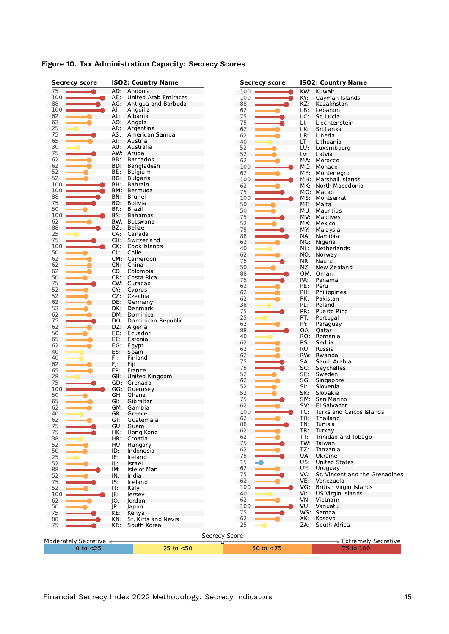| <b>Secrecy score</b>   |     | <b>ISO2: Country Name</b>   | <b>Secrecy score</b> |     | <b>ISO2: Country Name</b>      |
|------------------------|-----|-----------------------------|----------------------|-----|--------------------------------|
| 75                     |     | AD: Andorra                 | 100                  | KW: | Kuwait                         |
| 100                    | AE: | <b>United Arab Emirates</b> | 100                  | KY: | Cayman Islands                 |
| 88                     |     | AG: Antigua and Barbuda     | 88                   | KZ: | Kazakhstan                     |
| 100                    | AI: | Anguilla                    | 62                   | LB: | Lebanon                        |
| 62                     |     | AL: Albania                 | 75                   | LC: | St. Lucia                      |
| 62                     | AO: | Angola                      | 75                   | LI: | Liechtenstein                  |
| 25                     |     | AR: Argentina               | 62                   | LK: | Sri Lanka                      |
| 75                     | AS: | American Samoa              | 62                   | LR: | Liberia                        |
| 65                     | AT: | Austria                     | 40                   | LT: | Lithuania                      |
| 30                     | AU: | Australia                   | 52                   | LU: | Luxembourg                     |
| 75                     | AW: | Aruba                       | 52                   | LV: | Latvia                         |
| 62                     | BB: | <b>Barbados</b>             | 62                   | MA: | Morocco                        |
| 62                     | BD: | Bangladesh                  | 100                  | MC: | Monaco                         |
| 52                     | BE: | Belgium                     |                      |     |                                |
| 52                     | BG: | <b>Bulgaria</b>             | 62                   | ME: | Montenegro                     |
| 100                    | BH. | Bahrain                     | 100                  | MH: | Marshall Islands               |
|                        |     |                             | 62                   | MK. | North Macedonia                |
| 100                    | BM: | Bermuda                     | 75                   |     | MO: Macao                      |
| 88                     | BN. | Brunei                      | 100                  | MS: | Montserrat                     |
| 75                     | BO. | <b>Bolivia</b>              | 50                   | MT. | Malta                          |
| 50                     | BR: | Brazil                      | 50                   | MU: | Mauritius                      |
| 100                    | BS: | Bahamas                     | 75                   | MV. | Maldives                       |
| 62                     | BW. | Botswana                    | 52                   | MX: | Mexico                         |
| 88                     | BZ: | <b>Belize</b>               | 75                   | MY: | Malaysia                       |
| 25                     | CA: | Canada                      |                      |     |                                |
| 75                     | CH: | Switzerland                 | 88                   | NA: | Namibia                        |
| 100                    | CK: | Cook Islands                | 62                   | NG. | Nigeria                        |
|                        |     |                             | 40                   | NL: | Netherlands                    |
| 50                     | CL: | Chile                       | 62                   | NO: | Norway                         |
| 62                     |     | CM: Cameroon                | 75                   | NR: | Nauru                          |
| 62                     |     | CN: China                   | 50                   | NZ: | New Zealand                    |
| 62                     | CO: | Colombia                    | 88                   | OM: | Oman                           |
| 50                     | CR: | Costa Rica                  | 75                   | PA: | Panama                         |
| 75                     |     | CW: Curacao                 | 62                   | PE: |                                |
| 52                     | CY: | Cyprus                      |                      |     | Peru                           |
| 52                     | CZ: | Czechia                     | 62                   | PH: | Philippines                    |
| 62                     | DE: | Germany                     | 62                   | PK: | Pakistan                       |
| 52                     | DK: | Denmark                     | 38                   | PL: | Poland                         |
|                        |     |                             | 75                   | PR: | Puerto Rico                    |
| 62                     | DM: | Dominica                    | 25                   | PT: | Portugal                       |
| 75                     | DO: | Dominican Republic          | 62                   | PY: | Paraguay                       |
| 62                     | DZ: | Algeria                     | 88                   | QA: | Qatar                          |
| 50                     | EC: | Ecuador                     | 40                   | RO. | Romania                        |
| 65                     | EE: | Estonia                     |                      |     |                                |
| 62                     | EG: | Egypt                       | 62                   | RS: | Serbia                         |
| 40                     | ES: | Spain                       | 62                   | RU: | Russia                         |
| 40                     | FI: | Finland                     | 62                   | RW: | Rwanda                         |
| 62                     | FJ: | Fiji                        | 75                   | SA: | Saudi Arabia                   |
| 65                     | FR: | France                      | 75                   | SC: | Seychelles                     |
| 28                     |     | GB: United Kingdom          | 52                   | SE: | Sweden                         |
|                        |     |                             | 62                   | SG: | Singapore                      |
| 75                     | GD: | Grenada                     | 52                   | SI: | Slovenia                       |
| 100                    |     | GG: Guernsey                | 52                   | SK: | Slovakia                       |
| 50                     | GH. | Ghana                       | 75                   | SM: | San Marino                     |
| 65                     | GI. | Gibraltar                   |                      |     |                                |
| 62                     |     | GM. Gambia                  | 62                   | SV: | El Salvador                    |
| 40                     |     | GR: Greece                  | 100                  | TC: | Turks and Caicos Islands       |
| 62                     | GT: | Guatemala                   | 62                   | TH: | Thailand                       |
| 75                     |     | GU: Guam                    | 88                   | TN: | Tunisia                        |
| 75                     | HK: | Hong Kong                   | 62                   | TR: | Turkey                         |
| 38                     | HR: | Croatia                     | 62                   | TT: | Trinidad and Tobago            |
| 52                     |     |                             | 75                   | TW: | Taiwan                         |
|                        |     | HU: Hungary                 | 62                   | TZ: | Tanzania                       |
| 50                     | ID: | Indonesia                   | 75                   | UA: | Ukraine                        |
| 25                     | IE: | Ireland                     |                      |     |                                |
| 52                     | IL: | Israel                      | 15<br>E.             | US: | <b>United States</b>           |
| 88                     | IM: | Isle of Man                 | 62                   | UY: | Uruguay                        |
| 52                     | IN: | India                       | 75                   | VC: | St. Vincent and the Grenadines |
| 75                     | IS: | Iceland                     | 62                   | VE: | Venezuela                      |
| 52                     | IT: | Italy                       | 100                  | VG: | British Virgin Islands         |
| 100                    | JE: | lersey                      | 40                   | VI: | <b>US Virgin Islands</b>       |
| 62                     | JO: |                             | 62                   | VN: | Vietnam                        |
|                        |     | Jordan                      | 100                  | VU: | Vanuatu                        |
| 50                     | JP: | Japan                       |                      |     |                                |
| 75                     | KE: | Kenya                       | 75                   |     | WS: Samoa                      |
| 88                     | KN: | St. Kitts and Nevis         | 62                   | XK: | Kosovo                         |
| 75                     | KR: | South Korea                 | 25                   | ZA: | South Africa                   |
|                        |     |                             |                      |     |                                |
|                        |     |                             | Secrecy Score        |     |                                |
| Moderately Secretive < |     |                             |                      |     | > Extremely Secretive          |
| $0$ to $<$ 25          |     | $25$ to $< 50$              | 50 to $<$ 75         |     | 75 to 100                      |

## **Figure 10. Tax Administration Capacity: Secrecy Scores**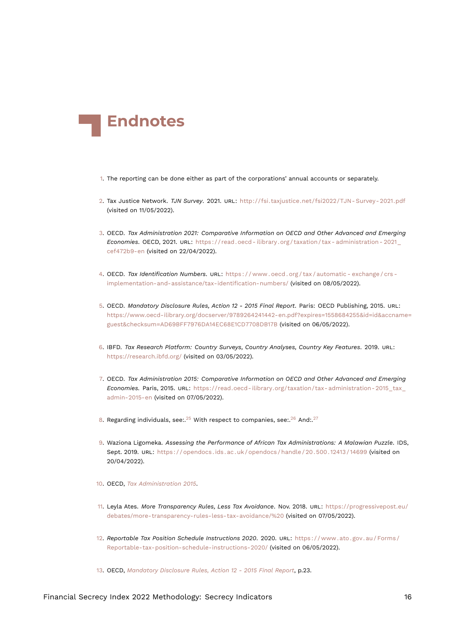<span id="page-15-19"></span>

- <span id="page-15-0"></span>[1.](#page-1-1) The reporting can be done either as part of the corporations' annual accounts or separately.
- <span id="page-15-1"></span>[2.](#page-2-0) Tax Justice Network. *TJN Survey*. 2021. URL: [http://fsi.taxjustice.net/fsi2022/TJN- Survey- 2021.pdf](http://fsi.taxjustice.net/fsi2022/TJN-Survey-2021.pdf) (visited on 11/05/2022).
- <span id="page-15-2"></span>[3.](#page-2-1) OECD. *Tax Administration 2021: Comparative Information on OECD and Other Advanced and Emerging Economies*. OECD, 2021. URL: [https://read.oecd- ilibrary.org/taxation/tax- administration- 2021\\_](https://read.oecd-ilibrary.org/taxation/tax-administration-2021_cef472b9-en) [cef472b9-en](https://read.oecd-ilibrary.org/taxation/tax-administration-2021_cef472b9-en) (visited on 22/04/2022).
- <span id="page-15-3"></span>[4.](#page-2-2) OECD. *Tax Identification Numbers*. URL: [https : / / www . oecd . org / tax / automatic - exchange / crs](https://www.oecd.org/tax/automatic-exchange/crs-implementation-and-assistance/tax-identification-numbers/)  [implementation-and-assistance/tax-identification-numbers/](https://www.oecd.org/tax/automatic-exchange/crs-implementation-and-assistance/tax-identification-numbers/) (visited on 08/05/2022).
- <span id="page-15-14"></span><span id="page-15-4"></span>[5.](#page-2-3) OECD. *Mandatory Disclosure Rules, Action 12 - 2015 Final Report*. Paris: OECD Publishing, 2015. URL: [https://www.oecd-ilibrary.org/docserver/9789264241442-en.pdf?expires=1558684255&id=id&accname=](https://www.oecd-ilibrary.org/docserver/9789264241442-en.pdf?expires=1558684255&id=id&accname=guest&checksum=AD69BFF7976DA14EC68E1CD7708DB17B) [guest&checksum=AD69BFF7976DA14EC68E1CD7708DB17B](https://www.oecd-ilibrary.org/docserver/9789264241442-en.pdf?expires=1558684255&id=id&accname=guest&checksum=AD69BFF7976DA14EC68E1CD7708DB17B) (visited on 06/05/2022).
- <span id="page-15-5"></span>[6.](#page-2-4) IBFD. *Tax Research Platform: Country Surveys, Country Analyses, Country Key Features*. 2019. URL: <https://research.ibfd.org/> (visited on 03/05/2022).
- <span id="page-15-13"></span><span id="page-15-6"></span>[7.](#page-3-0) OECD. *Tax Administration 2015: Comparative Information on OECD and Other Advanced and Emerging Economies.* Paris, 2015. URL: [https://read.oecd- ilibrary.org/taxation/tax- administration- 2015\\_tax\\_](https://read.oecd-ilibrary.org/taxation/tax-administration-2015_tax_admin-2015-en) [admin-2015-en](https://read.oecd-ilibrary.org/taxation/tax-administration-2015_tax_admin-2015-en) (visited on 07/05/2022).
- <span id="page-15-17"></span><span id="page-15-16"></span><span id="page-15-15"></span><span id="page-15-7"></span>[8.](#page-3-1) Regarding individuals, see:. $25$  With respect to companies, see:. $26$  And:. $27$
- <span id="page-15-8"></span>[9.](#page-4-0) Waziona Ligomeka. *Assessing the Performance of African Tax Administrations: A Malawian Puzzle*. IDS, Sept. 2019. URL: [https : / / opendocs . ids . ac . uk / opendocs / handle / 20 . 500 . 12413 / 14699](https://opendocs.ids.ac.uk/opendocs/handle/20.500.12413/14699) (visited on 20/04/2022).
- <span id="page-15-9"></span>[10.](#page-4-1) OECD, *[Tax Administration 2015](#page-15-13)*.
- <span id="page-15-18"></span><span id="page-15-10"></span>[11.](#page-4-2) Leyla Ates. *More Transparency Rules, Less Tax Avoidance*. Nov. 2018. URL: [https://progressivepost.eu/](https://progressivepost.eu/debates/more-transparency-rules-less-tax-avoidance/%20) [debates/more-transparency-rules-less-tax-avoidance/%20](https://progressivepost.eu/debates/more-transparency-rules-less-tax-avoidance/%20) (visited on 07/05/2022).
- <span id="page-15-11"></span>[12.](#page-4-3) *Reportable Tax Position Schedule Instructions 2020*. 2020. URL: [https : / / www . ato . gov . au / Forms /](https://www.ato.gov.au/Forms/Reportable-tax-position-schedule-instructions-2020/) [Reportable-tax-position-schedule-instructions-2020/](https://www.ato.gov.au/Forms/Reportable-tax-position-schedule-instructions-2020/) (visited on 06/05/2022).
- <span id="page-15-12"></span>[13.](#page-5-0) OECD, *[Mandatory Disclosure Rules, Action 12 - 2015 Final Report](#page-15-14)*, p.23.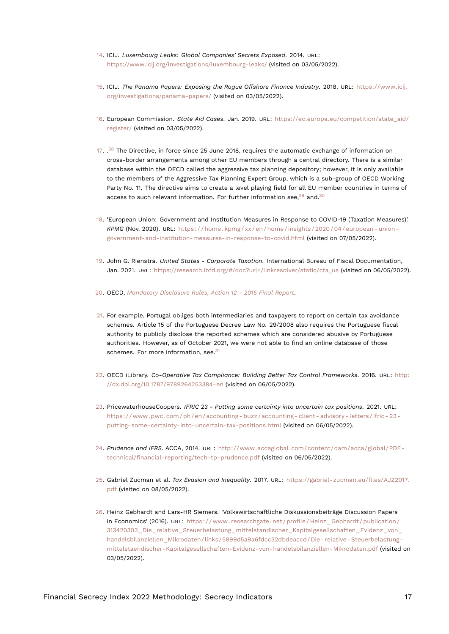- <span id="page-16-17"></span><span id="page-16-0"></span>[14.](#page-5-1) ICIJ. *Luxembourg Leaks: Global Companies' Secrets Exposed*. 2014. URL: <https://www.icij.org/investigations/luxembourg-leaks/> (visited on 03/05/2022).
- <span id="page-16-1"></span>[15.](#page-5-2) ICIJ. *The Panama Papers: Exposing the Rogue Offshore Finance Industry*. 2018. URL: [https://www.icij.](https://www.icij.org/investigations/panama-papers/) [org/investigations/panama-papers/](https://www.icij.org/investigations/panama-papers/) (visited on 03/05/2022).
- <span id="page-16-2"></span>[16.](#page-5-3) European Commission. *State Aid Cases*. Jan. 2019. URL: [https://ec.europa.eu/competition/state\\_aid/](https://ec.europa.eu/competition/state_aid/register/) [register/](https://ec.europa.eu/competition/state_aid/register/) (visited on 03/05/2022).
- <span id="page-16-13"></span><span id="page-16-3"></span>[17.](#page-5-4)  $^{28}$  $^{28}$  $^{28}$  The Directive, in force since 25 June 2018, requires the automatic exchange of information on cross-border arrangements among other EU members through a central directory. There is a similar database within the OECD called the aggressive tax planning depository; however, it is only available to the members of the Aggressive Tax Planning Expert Group, which is a sub-group of OECD Working Party No. 11. The directive aims to create a level playing field for all EU member countries in terms of access to such relevant information. For further information see, $29$  and. $30$
- <span id="page-16-15"></span><span id="page-16-14"></span><span id="page-16-4"></span>[18.](#page-5-5) 'European Union: Government and Institution Measures in Response to COVID-19 (Taxation Measures)'. *KPMG* (Nov. 2020). URL: [https : / / home . kpmg / xx / en / home / insights / 2020 / 04 / european - union](https://home.kpmg/xx/en/home/insights/2020/04/european-union-government-and-institution-measures-in-response-to-covid.html)  [government-and-institution-measures-in-response-to-covid.html](https://home.kpmg/xx/en/home/insights/2020/04/european-union-government-and-institution-measures-in-response-to-covid.html) (visited on 07/05/2022).
- <span id="page-16-5"></span>[19.](#page-5-6) John G. Rienstra. *United States - Corporate Taxation*. International Bureau of Fiscal Documentation, Jan. 2021. URL: [https://research.ibfd.org/#/doc?url=/linkresolver/static/cta\\_us](https://research.ibfd.org/#/doc?url=/linkresolver/static/cta_us) (visited on 06/05/2022).
- <span id="page-16-6"></span>[20.](#page-5-7) OECD, *[Mandatory Disclosure Rules, Action 12 - 2015 Final Report](#page-15-14)*.
- <span id="page-16-7"></span>[21.](#page-6-1) For example, Portugal obliges both intermediaries and taxpayers to report on certain tax avoidance schemes. Article 15 of the Portuguese Decree Law No. 29/2008 also requires the Portuguese fiscal authority to publicly disclose the reported schemes which are considered abusive by Portuguese authorities. However, as of October 2021, we were not able to find an online database of those schemes. For more information, see.<sup>[31](#page-17-4)</sup>
- <span id="page-16-16"></span><span id="page-16-8"></span>[22.](#page-6-2) OECD iLibrary. *Co-Operative Tax Compliance: Building Better Tax Control Frameworks*. 2016. URL: [http:](http://dx.doi.org/10.1787/9789264253384-en) [//dx.doi.org/10.1787/9789264253384-en](http://dx.doi.org/10.1787/9789264253384-en) (visited on 06/05/2022).
- <span id="page-16-9"></span>[23.](#page-6-3) PricewaterhouseCoopers. *IFRIC 23 - Putting some certainty into uncertain tax positions*. 2021. URL: [https://www.pwc.com/ph/en/accounting- buzz/accounting- client- advisory- letters/ifric- 23](https://www.pwc.com/ph/en/accounting-buzz/accounting-client-advisory-letters/ifric-23-putting-some-certainty-into-uncertain-tax-positions.html) [putting-some-certainty-into-uncertain-tax-positions.html](https://www.pwc.com/ph/en/accounting-buzz/accounting-client-advisory-letters/ifric-23-putting-some-certainty-into-uncertain-tax-positions.html) (visited on 06/05/2022).
- <span id="page-16-10"></span>[24.](#page-6-4) *Prudence and IFRS*. ACCA, 2014. URL: [http://www.accaglobal.com/content/dam/acca/global/PDF](http://www.accaglobal.com/content/dam/acca/global/PDF-technical/financial-reporting/tech-tp-prudence.pdf)[technical/financial-reporting/tech-tp-prudence.pdf](http://www.accaglobal.com/content/dam/acca/global/PDF-technical/financial-reporting/tech-tp-prudence.pdf) (visited on 06/05/2022).
- <span id="page-16-11"></span>[25.](#page-15-15) Gabriel Zucman et al. *Tax Evasion and Inequality*. 2017. URL: [https://gabriel-zucman.eu/files/AJZ2017.](https://gabriel-zucman.eu/files/AJZ2017.pdf) [pdf](https://gabriel-zucman.eu/files/AJZ2017.pdf) (visited on 08/05/2022).
- <span id="page-16-12"></span>[26.](#page-15-16) Heinz Gebhardt and Lars-HR Siemers. 'Volkswirtschaftliche Diskussionsbeiträge Discussion Papers in Economics' (2016). URL: https://www.researchgate.net/profile/Heinz\_Gebhardt/publication/ [313420303\\_Die\\_relative\\_Steuerbelastung\\_mittelstandischer\\_Kapitalgesellschaften\\_Evidenz\\_von\\_](https://www.researchgate.net/profile/Heinz_Gebhardt/publication/313420303_Die_relative_Steuerbelastung_mittelstandischer_Kapitalgesellschaften_Evidenz_von_handelsbilanziellen_Mikrodaten/links/5899d5a9a6fdcc32dbdeaccd/Die-relative-Steuerbelastung-mittelstaendischer-Kapitalgesellschaften-Evidenz-von-handelsbilanziellen-Mikrodaten.pdf) [handelsbilanziellen\\_Mikrodaten/links/5899d5a9a6fdcc32dbdeaccd/Die- relative- Steuerbelastung](https://www.researchgate.net/profile/Heinz_Gebhardt/publication/313420303_Die_relative_Steuerbelastung_mittelstandischer_Kapitalgesellschaften_Evidenz_von_handelsbilanziellen_Mikrodaten/links/5899d5a9a6fdcc32dbdeaccd/Die-relative-Steuerbelastung-mittelstaendischer-Kapitalgesellschaften-Evidenz-von-handelsbilanziellen-Mikrodaten.pdf)[mittelstaendischer-Kapitalgesellschaften-Evidenz-von-handelsbilanziellen-Mikrodaten.pdf](https://www.researchgate.net/profile/Heinz_Gebhardt/publication/313420303_Die_relative_Steuerbelastung_mittelstandischer_Kapitalgesellschaften_Evidenz_von_handelsbilanziellen_Mikrodaten/links/5899d5a9a6fdcc32dbdeaccd/Die-relative-Steuerbelastung-mittelstaendischer-Kapitalgesellschaften-Evidenz-von-handelsbilanziellen-Mikrodaten.pdf) (visited on 03/05/2022).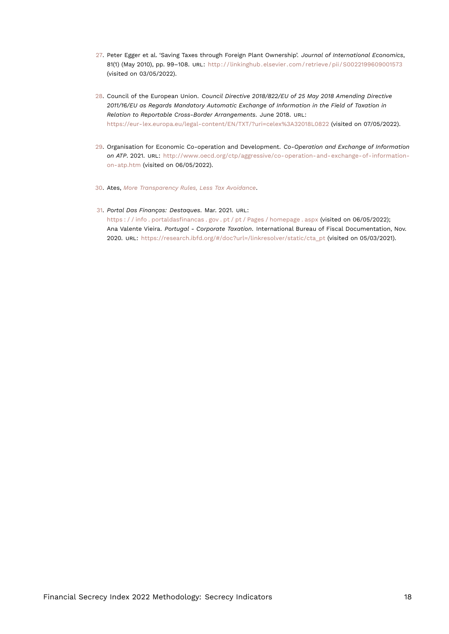- <span id="page-17-5"></span><span id="page-17-0"></span>[27.](#page-15-17) Peter Egger et al. 'Saving Taxes through Foreign Plant Ownership'. *Journal of International Economics*, 81(1) (May 2010), pp. 99–108. URL: <http://linkinghub.elsevier.com/retrieve/pii/S0022199609001573> (visited on 03/05/2022).
- <span id="page-17-1"></span>[28.](#page-16-13) Council of the European Union. *Council Directive 2018/822/EU of 25 May 2018 Amending Directive 2011/16/EU as Regards Mandatory Automatic Exchange of Information in the Field of Taxation in Relation to Reportable Cross-Border Arrangements*. June 2018. URL: <https://eur-lex.europa.eu/legal-content/EN/TXT/?uri=celex%3A32018L0822> (visited on 07/05/2022).
- <span id="page-17-2"></span>[29.](#page-16-14) Organisation for Economic Co-operation and Development. *Co-Operation and Exchange of Information on ATP*. 2021. URL: [http://www.oecd.org/ctp/aggressive/co-operation-and-exchange-of-information](http://www.oecd.org/ctp/aggressive/co-operation-and-exchange-of-information-on-atp.htm)[on-atp.htm](http://www.oecd.org/ctp/aggressive/co-operation-and-exchange-of-information-on-atp.htm) (visited on 06/05/2022).
- <span id="page-17-3"></span>[30.](#page-16-15) Ates, *[More Transparency Rules, Less Tax Avoidance](#page-15-18)*.
- <span id="page-17-4"></span>[31.](#page-16-16) *Portal Das Finanças: Destaques*. Mar. 2021. URL: [https : / / info . portaldasfinancas . gov . pt / pt / Pages / homepage . aspx](https://info.portaldasfinancas.gov.pt/pt/Pages/homepage.aspx) (visited on 06/05/2022); Ana Valente Vieira. *Portugal - Corporate Taxation*. International Bureau of Fiscal Documentation, Nov. 2020. URL: [https://research.ibfd.org/#/doc?url=/linkresolver/static/cta\\_pt](https://research.ibfd.org/#/doc?url=/linkresolver/static/cta_pt) (visited on 05/03/2021).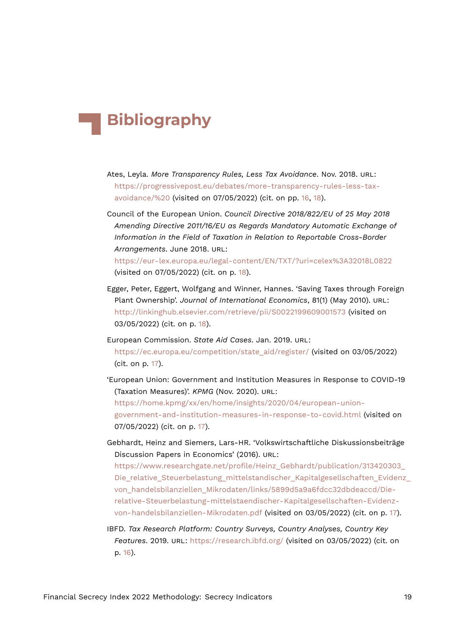# **Bibliography**

- Ates, Leyla. *More Transparency Rules, Less Tax Avoidance*. Nov. 2018. URL: [https://progressivepost.eu/debates/more-transparency-rules-less-tax](https://progressivepost.eu/debates/more-transparency-rules-less-tax-avoidance/%20)[avoidance/%20](https://progressivepost.eu/debates/more-transparency-rules-less-tax-avoidance/%20) (visited on 07/05/2022) (cit. on pp. [16,](#page-15-19) [18\)](#page-17-5).
- Council of the European Union. *Council Directive 2018/822/EU of 25 May 2018 Amending Directive 2011/16/EU as Regards Mandatory Automatic Exchange of Information in the Field of Taxation in Relation to Reportable Cross-Border Arrangements*. June 2018. URL:

<https://eur-lex.europa.eu/legal-content/EN/TXT/?uri=celex%3A32018L0822> (visited on 07/05/2022) (cit. on p. [18\)](#page-17-5).

- Egger, Peter, Eggert, Wolfgang and Winner, Hannes. 'Saving Taxes through Foreign Plant Ownership'. *Journal of International Economics*, 81(1) (May 2010). URL: <http://linkinghub.elsevier.com/retrieve/pii/S0022199609001573> (visited on 03/05/2022) (cit. on p. [18](#page-17-5)).
- European Commission. *State Aid Cases*. Jan. 2019. URL: [https://ec.europa.eu/competition/state\\_aid/register/](https://ec.europa.eu/competition/state_aid/register/) (visited on 03/05/2022) (cit. on p. [17](#page-16-17)).
- 'European Union: Government and Institution Measures in Response to COVID-19 (Taxation Measures)'. *KPMG* (Nov. 2020). URL:

[https://home.kpmg/xx/en/home/insights/2020/04/european-union](https://home.kpmg/xx/en/home/insights/2020/04/european-union-government-and-institution-measures-in-response-to-covid.html)[government-and-institution-measures-in-response-to-covid.html](https://home.kpmg/xx/en/home/insights/2020/04/european-union-government-and-institution-measures-in-response-to-covid.html) (visited on 07/05/2022) (cit. on p. [17](#page-16-17)).

Gebhardt, Heinz and Siemers, Lars-HR. 'Volkswirtschaftliche Diskussionsbeiträge Discussion Papers in Economics' (2016). URL:

[https://www.researchgate.net/profile/Heinz\\_Gebhardt/publication/313420303\\_](https://www.researchgate.net/profile/Heinz_Gebhardt/publication/313420303_Die_relative_Steuerbelastung_mittelstandischer_Kapitalgesellschaften_Evidenz_von_handelsbilanziellen_Mikrodaten/links/5899d5a9a6fdcc32dbdeaccd/Die-relative-Steuerbelastung-mittelstaendischer-Kapitalgesellschaften-Evidenz-von-handelsbilanziellen-Mikrodaten.pdf) Die relative Steuerbelastung mittelstandischer Kapitalgesellschaften Evidenz [von\\_handelsbilanziellen\\_Mikrodaten/links/5899d5a9a6fdcc32dbdeaccd/Die](https://www.researchgate.net/profile/Heinz_Gebhardt/publication/313420303_Die_relative_Steuerbelastung_mittelstandischer_Kapitalgesellschaften_Evidenz_von_handelsbilanziellen_Mikrodaten/links/5899d5a9a6fdcc32dbdeaccd/Die-relative-Steuerbelastung-mittelstaendischer-Kapitalgesellschaften-Evidenz-von-handelsbilanziellen-Mikrodaten.pdf)[relative-Steuerbelastung-mittelstaendischer-Kapitalgesellschaften-Evidenz](https://www.researchgate.net/profile/Heinz_Gebhardt/publication/313420303_Die_relative_Steuerbelastung_mittelstandischer_Kapitalgesellschaften_Evidenz_von_handelsbilanziellen_Mikrodaten/links/5899d5a9a6fdcc32dbdeaccd/Die-relative-Steuerbelastung-mittelstaendischer-Kapitalgesellschaften-Evidenz-von-handelsbilanziellen-Mikrodaten.pdf)[von-handelsbilanziellen-Mikrodaten.pdf](https://www.researchgate.net/profile/Heinz_Gebhardt/publication/313420303_Die_relative_Steuerbelastung_mittelstandischer_Kapitalgesellschaften_Evidenz_von_handelsbilanziellen_Mikrodaten/links/5899d5a9a6fdcc32dbdeaccd/Die-relative-Steuerbelastung-mittelstaendischer-Kapitalgesellschaften-Evidenz-von-handelsbilanziellen-Mikrodaten.pdf) (visited on 03/05/2022) (cit. on p. [17](#page-16-17)).

IBFD. *Tax Research Platform: Country Surveys, Country Analyses, Country Key Features*. 2019. URL: <https://research.ibfd.org/> (visited on 03/05/2022) (cit. on p. [16\)](#page-15-19).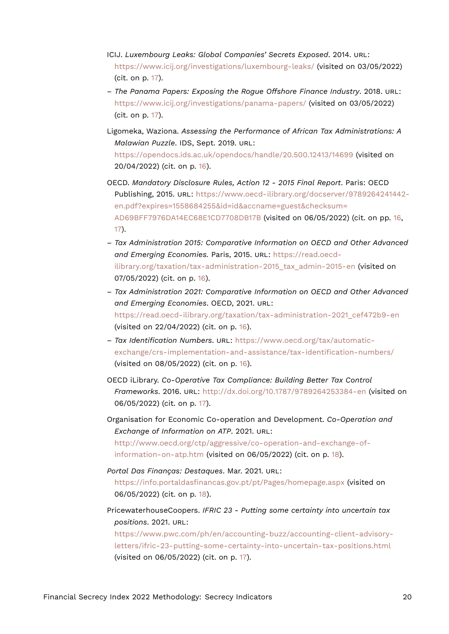- ICIJ. *Luxembourg Leaks: Global Companies' Secrets Exposed*. 2014. URL: <https://www.icij.org/investigations/luxembourg-leaks/> (visited on 03/05/2022) (cit. on p. [17](#page-16-17)).
- *The Panama Papers: Exposing the Rogue Offshore Finance Industry*. 2018. URL: <https://www.icij.org/investigations/panama-papers/> (visited on 03/05/2022) (cit. on p. [17](#page-16-17)).
- Ligomeka, Waziona. *Assessing the Performance of African Tax Administrations: A Malawian Puzzle*. IDS, Sept. 2019. URL: <https://opendocs.ids.ac.uk/opendocs/handle/20.500.12413/14699> (visited on 20/04/2022) (cit. on p. [16\)](#page-15-19).
- OECD. *Mandatory Disclosure Rules, Action 12 2015 Final Report*. Paris: OECD Publishing, 2015. URL: [https://www.oecd-ilibrary.org/docserver/9789264241442](https://www.oecd-ilibrary.org/docserver/9789264241442-en.pdf?expires=1558684255&id=id&accname=guest&checksum=AD69BFF7976DA14EC68E1CD7708DB17B) [en.pdf?expires=1558684255&id=id&accname=guest&checksum=](https://www.oecd-ilibrary.org/docserver/9789264241442-en.pdf?expires=1558684255&id=id&accname=guest&checksum=AD69BFF7976DA14EC68E1CD7708DB17B) [AD69BFF7976DA14EC68E1CD7708DB17B](https://www.oecd-ilibrary.org/docserver/9789264241442-en.pdf?expires=1558684255&id=id&accname=guest&checksum=AD69BFF7976DA14EC68E1CD7708DB17B) (visited on 06/05/2022) (cit. on pp. [16,](#page-15-19) [17](#page-16-17)).
- *Tax Administration 2015: Comparative Information on OECD and Other Advanced and Emerging Economies.* Paris, 2015. URL: [https://read.oecd](https://read.oecd-ilibrary.org/taxation/tax-administration-2015_tax_admin-2015-en)ilibrary.org/taxation/tax-administration-2015 tax admin-2015-en (visited on 07/05/2022) (cit. on p. [16\)](#page-15-19).
- *Tax Administration 2021: Comparative Information on OECD and Other Advanced and Emerging Economies*. OECD, 2021. URL: [https://read.oecd-ilibrary.org/taxation/tax-administration-2021\\_cef472b9-en](https://read.oecd-ilibrary.org/taxation/tax-administration-2021_cef472b9-en) (visited on 22/04/2022) (cit. on p. [16](#page-15-19)).
- *Tax Identification Numbers*. URL: [https://www.oecd.org/tax/automatic](https://www.oecd.org/tax/automatic-exchange/crs-implementation-and-assistance/tax-identification-numbers/)[exchange/crs-implementation-and-assistance/tax-identification-numbers/](https://www.oecd.org/tax/automatic-exchange/crs-implementation-and-assistance/tax-identification-numbers/) (visited on 08/05/2022) (cit. on p. [16\)](#page-15-19).
- OECD iLibrary. *Co-Operative Tax Compliance: Building Better Tax Control Frameworks*. 2016. URL: <http://dx.doi.org/10.1787/9789264253384-en> (visited on 06/05/2022) (cit. on p. [17](#page-16-17)).
- Organisation for Economic Co-operation and Development. *Co-Operation and Exchange of Information on ATP*. 2021. URL: [http://www.oecd.org/ctp/aggressive/co-operation-and-exchange-of](http://www.oecd.org/ctp/aggressive/co-operation-and-exchange-of-information-on-atp.htm)[information-on-atp.htm](http://www.oecd.org/ctp/aggressive/co-operation-and-exchange-of-information-on-atp.htm) (visited on 06/05/2022) (cit. on p. [18\)](#page-17-5).
- *Portal Das Finanças: Destaques*. Mar. 2021. URL: <https://info.portaldasfinancas.gov.pt/pt/Pages/homepage.aspx> (visited on 06/05/2022) (cit. on p. [18\)](#page-17-5).
- PricewaterhouseCoopers. *IFRIC 23 Putting some certainty into uncertain tax positions*. 2021. URL:

[https://www.pwc.com/ph/en/accounting-buzz/accounting-client-advisory](https://www.pwc.com/ph/en/accounting-buzz/accounting-client-advisory-letters/ifric-23-putting-some-certainty-into-uncertain-tax-positions.html)[letters/ifric-23-putting-some-certainty-into-uncertain-tax-positions.html](https://www.pwc.com/ph/en/accounting-buzz/accounting-client-advisory-letters/ifric-23-putting-some-certainty-into-uncertain-tax-positions.html) (visited on 06/05/2022) (cit. on p. [17](#page-16-17)).